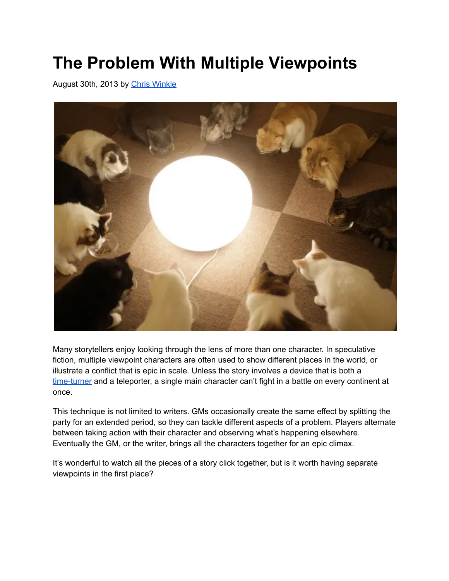# **The Problem With Multiple Viewpoints**

August 30th, 2013 by Chris [Winkle](https://mythcreants.com/blog/author/chris/)



Many storytellers enjoy looking through the lens of more than one character. In speculative fiction, multiple viewpoint characters are often used to show different places in the world, or illustrate a conflict that is epic in scale. Unless the story involves a device that is both a [time-turner](http://harrypotter.wikia.com/wiki/Time-Turner) and a teleporter, a single main character can't fight in a battle on every continent at once.

This technique is not limited to writers. GMs occasionally create the same effect by splitting the party for an extended period, so they can tackle different aspects of a problem. Players alternate between taking action with their character and observing what's happening elsewhere. Eventually the GM, or the writer, brings all the characters together for an epic climax.

It's wonderful to watch all the pieces of a story click together, but is it worth having separate viewpoints in the first place?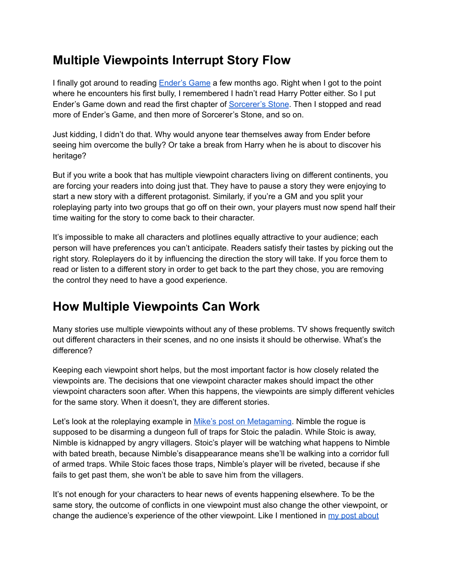### **Multiple Viewpoints Interrupt Story Flow**

I finally got around to reading [Ender's](https://www.amazon.com/Enders-Game-The-Ender-Quintet/dp/0812550706/ref=sr_1_1?tag=mythcreants-20) Game a few months ago. Right when I got to the point where he encounters his first bully, I remembered I hadn't read Harry Potter either. So I put Ender's Game down and read the first chapter of [Sorcerer's](https://www.amazon.com/Harry-Potter-Sorcerers-Stone-Book/dp/059035342X/ref=sr_1_1?tag=mythcreants-20) Stone. Then I stopped and read more of Ender's Game, and then more of Sorcerer's Stone, and so on.

Just kidding, I didn't do that. Why would anyone tear themselves away from Ender before seeing him overcome the bully? Or take a break from Harry when he is about to discover his heritage?

But if you write a book that has multiple viewpoint characters living on different continents, you are forcing your readers into doing just that. They have to pause a story they were enjoying to start a new story with a different protagonist. Similarly, if you're a GM and you split your roleplaying party into two groups that go off on their own, your players must now spend half their time waiting for the story to come back to their character.

It's impossible to make all characters and plotlines equally attractive to your audience; each person will have preferences you can't anticipate. Readers satisfy their tastes by picking out the right story. Roleplayers do it by influencing the direction the story will take. If you force them to read or listen to a different story in order to get back to the part they chose, you are removing the control they need to have a good experience.

### **How Multiple Viewpoints Can Work**

Many stories use multiple viewpoints without any of these problems. TV shows frequently switch out different characters in their scenes, and no one insists it should be otherwise. What's the difference?

Keeping each viewpoint short helps, but the most important factor is how closely related the viewpoints are. The decisions that one viewpoint character makes should impact the other viewpoint characters soon after. When this happens, the viewpoints are simply different vehicles for the same story. When it doesn't, they are different stories.

Let's look at the roleplaying example in Mike's post on [Metagaming.](https://mythcreants.com/blog/how-metagaming-can-improve-your-campaign/) Nimble the rogue is supposed to be disarming a dungeon full of traps for Stoic the paladin. While Stoic is away, Nimble is kidnapped by angry villagers. Stoic's player will be watching what happens to Nimble with bated breath, because Nimble's disappearance means she'll be walking into a corridor full of armed traps. While Stoic faces those traps, Nimble's player will be riveted, because if she fails to get past them, she won't be able to save him from the villagers.

It's not enough for your characters to hear news of events happening elsewhere. To be the same story, the outcome of conflicts in one viewpoint must also change the other viewpoint, or change the audience's experience of the other viewpoint. Like I mentioned in my post [about](https://mythcreants.com/blog/cut-that-scene/)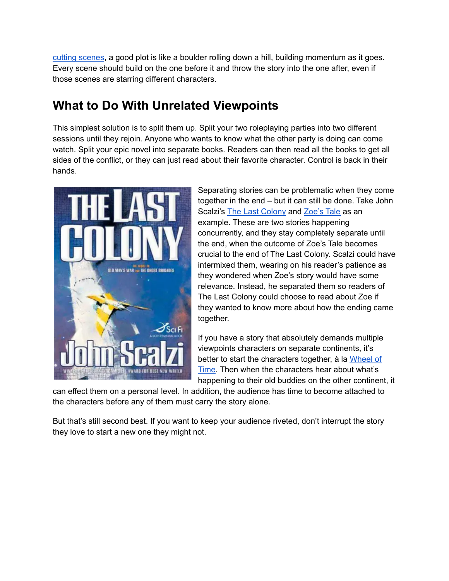cutting [scenes](https://mythcreants.com/blog/cut-that-scene/), a good plot is like a boulder rolling down a hill, building momentum as it goes. Every scene should build on the one before it and throw the story into the one after, even if those scenes are starring different characters.

### **What to Do With Unrelated Viewpoints**

This simplest solution is to split them up. Split your two roleplaying parties into two different sessions until they rejoin. Anyone who wants to know what the other party is doing can come watch. Split your epic novel into separate books. Readers can then read all the books to get all sides of the conflict, or they can just read about their favorite character. Control is back in their hands.



Separating stories can be problematic when they come together in the end – but it can still be done. Take John Scalzi's The Last [Colony](https://www.amazon.com/The-Last-Colony-John-Scalzi/dp/076535618X/ref=sr_1_1?tag=mythcreants-20) and [Zoe's](https://www.amazon.com/Zoes-Tale-John-Scalzi/dp/0765356198/ref=sr_1_1?tag=mythcreants-20) Tale as an example. These are two stories happening concurrently, and they stay completely separate until the end, when the outcome of Zoe's Tale becomes crucial to the end of The Last Colony. Scalzi could have intermixed them, wearing on his reader's patience as they wondered when Zoe's story would have some relevance. Instead, he separated them so readers of The Last Colony could choose to read about Zoe if they wanted to know more about how the ending came together.

If you have a story that absolutely demands multiple viewpoints characters on separate continents, it's better to start the characters together, à la [Wheel](https://www.amazon.com/The-World-Wheel-Time-Book/dp/0812511816/ref=sr_1_1?tag=mythcreants-20) of [Time](https://www.amazon.com/The-World-Wheel-Time-Book/dp/0812511816/ref=sr_1_1?tag=mythcreants-20). Then when the characters hear about what's happening to their old buddies on the other continent, it

can effect them on a personal level. In addition, the audience has time to become attached to the characters before any of them must carry the story alone.

But that's still second best. If you want to keep your audience riveted, don't interrupt the story they love to start a new one they might not.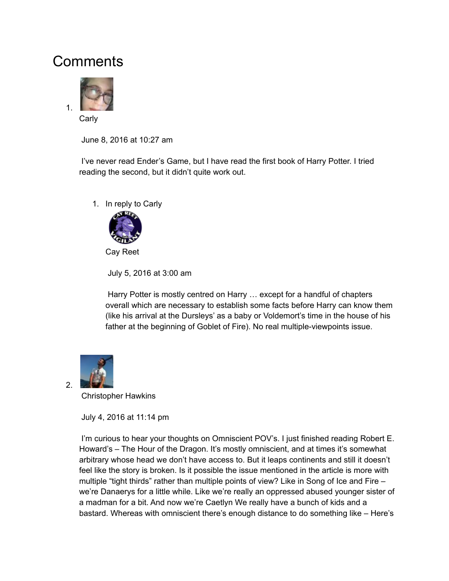## **Comments**



Carly

June 8, 2016 at 10:27 am

I've never read Ender's Game, but I have read the first book of Harry Potter. I tried reading the second, but it didn't quite work out.





July 5, 2016 at 3:00 am

Harry Potter is mostly centred on Harry … except for a handful of chapters overall which are necessary to establish some facts before Harry can know them (like his arrival at the Dursleys' as a baby or Voldemort's time in the house of his father at the beginning of Goblet of Fire). No real multiple-viewpoints issue.



Christopher Hawkins

July 4, 2016 at 11:14 pm

I'm curious to hear your thoughts on Omniscient POV's. I just finished reading Robert E. Howard's – The Hour of the Dragon. It's mostly omniscient, and at times it's somewhat arbitrary whose head we don't have access to. But it leaps continents and still it doesn't feel like the story is broken. Is it possible the issue mentioned in the article is more with multiple "tight thirds" rather than multiple points of view? Like in Song of Ice and Fire – we're Danaerys for a little while. Like we're really an oppressed abused younger sister of a madman for a bit. And now we're Caetlyn We really have a bunch of kids and a bastard. Whereas with omniscient there's enough distance to do something like – Here's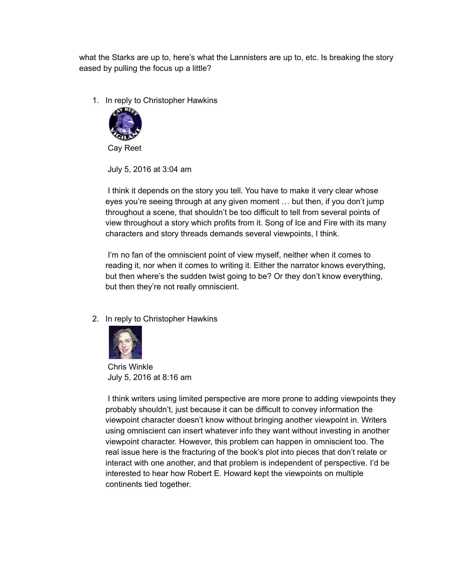what the Starks are up to, here's what the Lannisters are up to, etc. Is breaking the story eased by pulling the focus up a little?

1. In reply to Christopher Hawkins



Cay Reet

July 5, 2016 at 3:04 a[m](https://mythcreants.com/wp-admin/comment.php?action=editcomment&c=350724)

I think it depends on the story you tell. You have to make it very clear whose eyes you're seeing through at any given moment … but then, if you don't jump throughout a scene, that shouldn't be too difficult to tell from several points of view throughout a story which profits from it. Song of Ice and Fire with its many characters and story threads demands several viewpoints, I think.

I'm no fan of the omniscient point of view myself, neither when it comes to reading it, nor when it comes to writing it. Either the narrator knows everything, but then where's the sudden twist going to be? Or they don't know everything, but then they're not really omniscient.

#### 2. In reply to Christopher Hawkins



Chris Winkle July 5, 2016 at 8:16 a[m](https://mythcreants.com/wp-admin/comment.php?action=editcomment&c=350728)

I think writers using limited perspective are more prone to adding viewpoints they probably shouldn't, just because it can be difficult to convey information the viewpoint character doesn't know without bringing another viewpoint in. Writers using omniscient can insert whatever info they want without investing in another viewpoint character. However, this problem can happen in omniscient too. The real issue here is the fracturing of the book's plot into pieces that don't relate or interact with one another, and that problem is independent of perspective. I'd be interested to hear how Robert E. Howard kept the viewpoints on multiple continents tied together.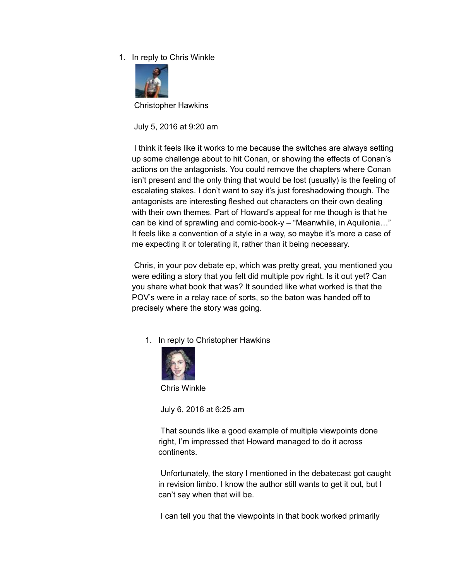1. In reply to Chris Winkle



Christopher Hawkins

July 5, 2016 at 9:20 am

I think it feels like it works to me because the switches are always setting up some challenge about to hit Conan, or showing the effects of Conan's actions on the antagonists. You could remove the chapters where Conan isn't present and the only thing that would be lost (usually) is the feeling of escalating stakes. I don't want to say it's just foreshadowing though. The antagonists are interesting fleshed out characters on their own dealing with their own themes. Part of Howard's appeal for me though is that he can be kind of sprawling and comic-book-y – "Meanwhile, in Aquilonia…" It feels like a convention of a style in a way, so maybe it's more a case of me expecting it or tolerating it, rather than it being necessary.

Chris, in your pov debate ep, which was pretty great, you mentioned you were editing a story that you felt did multiple pov right. Is it out yet? Can you share what book that was? It sounded like what worked is that the POV's were in a relay race of sorts, so the baton was handed off to precisely where the story was going.

1. In reply to Christopher Hawkins



Chris Winkle

July 6, 2016 at 6:25 a[m](https://mythcreants.com/wp-admin/comment.php?action=editcomment&c=350754)

That sounds like a good example of multiple viewpoints done right, I'm impressed that Howard managed to do it across continents.

Unfortunately, the story I mentioned in the debatecast got caught in revision limbo. I know the author still wants to get it out, but I can't say when that will be.

I can tell you that the viewpoints in that book worked primarily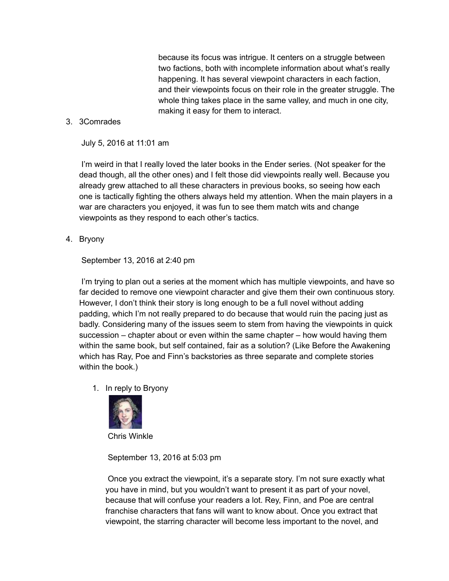because its focus was intrigue. It centers on a struggle between two factions, both with incomplete information about what's really happening. It has several viewpoint characters in each faction, and their viewpoints focus on their role in the greater struggle. The whole thing takes place in the same valley, and much in one city, making it easy for them to interact.

#### 3. 3Comrades

July 5, 2016 at 11:01 am

I'm weird in that I really loved the later books in the Ender series. (Not speaker for the dead though, all the other ones) and I felt those did viewpoints really well. Because you already grew attached to all these characters in previous books, so seeing how each one is tactically fighting the others always held my attention. When the main players in a war are characters you enjoyed, it was fun to see them match wits and change viewpoints as they respond to each other's tactics[.](https://mythcreants.com/blog/the-problem-with-multiple-viewpoints/?replytocom=350730#respond)

4. Bryony

September 13, 2016 at 2:40 pm

I'm trying to plan out a series at the moment which has multiple viewpoints, and have so far decided to remove one viewpoint character and give them their own continuous story. However, I don't think their story is long enough to be a full novel without adding padding, which I'm not really prepared to do because that would ruin the pacing just as badly. Considering many of the issues seem to stem from having the viewpoints in quick succession – chapter about or even within the same chapter – how would having them within the same book, but self contained, fair as a solution? (Like Before the Awakening which has Ray, Poe and Finn's backstories as three separate and complete stories within the book.[\)](https://mythcreants.com/blog/the-problem-with-multiple-viewpoints/?replytocom=352472#respond)

1. In reply to Bryony



Chris Winkle

September 13, 2016 at 5:03 pm

Once you extract the viewpoint, it's a separate story. I'm not sure exactly what you have in mind, but you wouldn't want to present it as part of your novel, because that will confuse your readers a lot. Rey, Finn, and Poe are central franchise characters that fans will want to know about. Once you extract that viewpoint, the starring character will become less important to the novel, and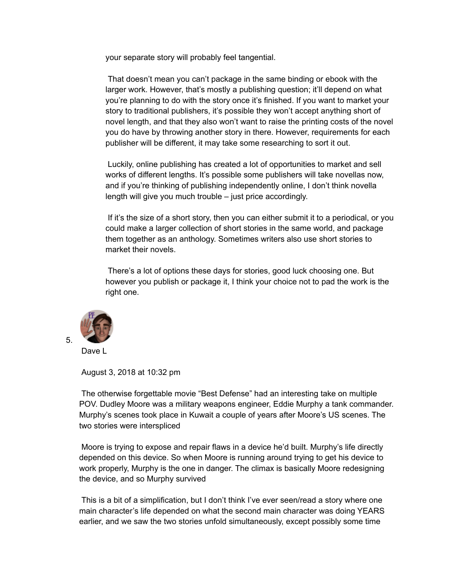your separate story will probably feel tangential.

That doesn't mean you can't package in the same binding or ebook with the larger work. However, that's mostly a publishing question; it'll depend on what you're planning to do with the story once it's finished. If you want to market your story to traditional publishers, it's possible they won't accept anything short of novel length, and that they also won't want to raise the printing costs of the novel you do have by throwing another story in there. However, requirements for each publisher will be different, it may take some researching to sort it out.

Luckily, online publishing has created a lot of opportunities to market and sell works of different lengths. It's possible some publishers will take novellas now, and if you're thinking of publishing independently online, I don't think novella length will give you much trouble – just price accordingly.

If it's the size of a short story, then you can either submit it to a periodical, or you could make a larger collection of short stories in the same world, and package them together as an anthology. Sometimes writers also use short stories to market their novels.

There's a lot of options these days for stories, good luck choosing one. But however you publish or package it, I think your choice not to pad the work is the right one.



Dave L

August 3, 2018 at 10:32 pm

The otherwise forgettable movie "Best Defense" had an interesting take on multiple POV. Dudley Moore was a military weapons engineer, Eddie Murphy a tank commander. Murphy's scenes took place in Kuwait a couple of years after Moore's US scenes. The two stories were interspliced

Moore is trying to expose and repair flaws in a device he'd built. Murphy's life directly depended on this device. So when Moore is running around trying to get his device to work properly, Murphy is the one in danger. The climax is basically Moore redesigning the device, and so Murphy survived

This is a bit of a simplification, but I don't think I've ever seen/read a story where one main character's life depended on what the second main character was doing YEARS earlier, and we saw the two stories unfold simultaneously, except possibly some time